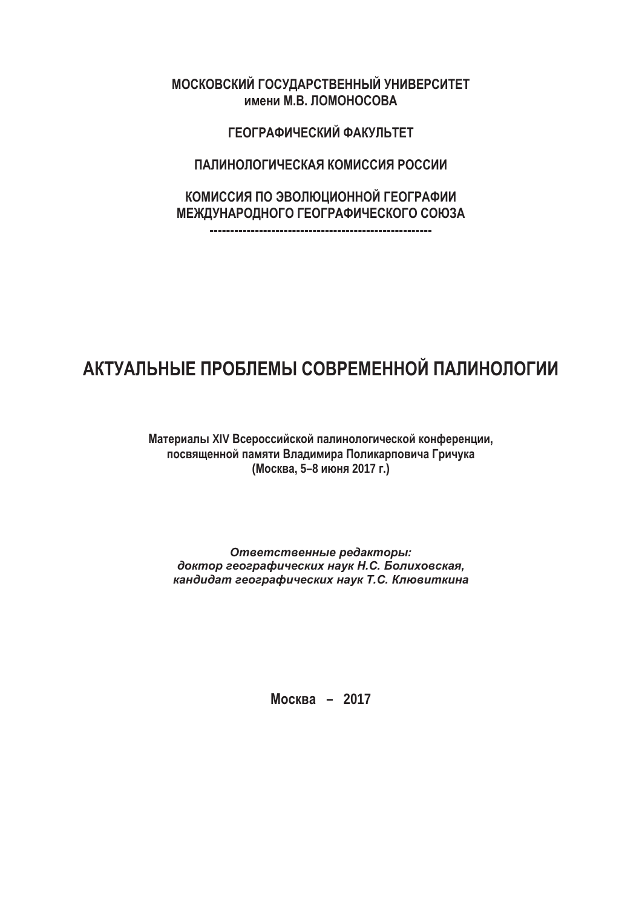**ɇɉɌɅɉȽɌɅɃɄ ȾɉɌɎȿȻɋɌɍȽɀɈɈɖɄ ɎɈɃȽɀɋɌɃɍɀɍ ИМЕНИ М.В. ЛОМОНОСОВА** 

ГЕОГРАФИЧЕСКИЙ ФАКУПЬТЕТ

ПАЛИНОЛОГИЧЕСКАЯ КОМИССИЯ РОССИИ

КОМИССИЯ ПО ЭВОЛЮЦИОННОЙ ГЕОГРАФИИ **ɇɀɁȿɎɈȻɋɉȿɈɉȾɉ ȾɀɉȾɋȻɏɃɒɀɌɅɉȾɉ ɌɉəɂȻ**

**------------------------------------------------------** 

## **АКТУАЛЬНЫЕ ПРОБЛЕМЫ СОВРЕМЕННОЙ ПАЛИНОЛОГИИ**

Материалы XIV Всероссийской палинологической конференции, посвященной памяти Владимира Поликарповича Гричука **(ɇɩɬɥɝɛ, 5–8 ɣɹɨɺ 2017 ɞ.)** 

Ответственные редакторы:  $\partial$ октор географических наук Н.С. Болиховская,  $k$ андидат географических наук Т.С. Клювиткина

**Москва – 2017**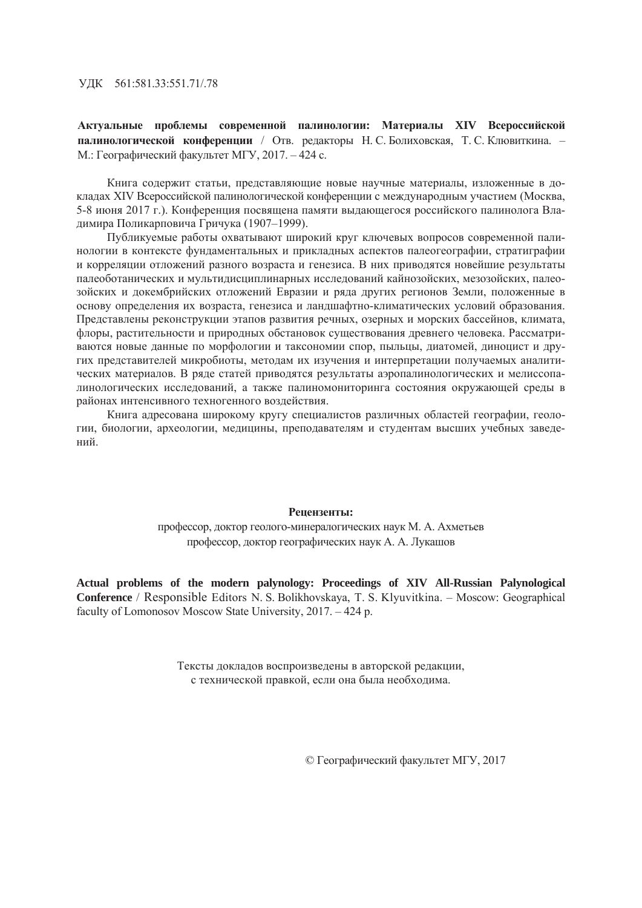ɍȾɄ 561:581.33:551.71/.78

Актуальные проблемы современной палинологии: Материалы XIV Всероссийской палинологической конференции / Отв. редакторы Н. С. Болиховская, Т. С. Клювиткина. – М.: Географический факультет МГУ, 2017. – 424 с.

Книга содержит статьи, представляющие новые научные материалы, изложенные в докладах XIV Всероссийской палинологической конференции с международным участием (Москва, 5-8 июня 2017 г.). Конференция посвящена памяти выдающегося российского палинолога Владимира Поликарповича Гричука (1907–1999).

Публикуемые работы охватывают широкий круг ключевых вопросов современной палинологии в контексте фундаментальных и прикладных аспектов палеогеографии, стратиграфии и корреляции отложений разного возраста и генезиса. В них приводятся новейшие результаты палеоботанических и мультидисциплинарных исследований кайнозойских, мезозойских, палеозойских и докембрийских отложений Евразии и ряда других регионов Земли, положенные в основу определения их возраста, генезиса и ландшафтно-климатических условий образования. Представлены реконструкции этапов развития речных, озерных и морских бассейнов, климата, флоры, растительности и природных обстановок существования древнего человека. Рассматриваются новые данные по морфологии и таксономии спор, пыльцы, диатомей, диноцист и других представителей микробиоты, методам их изучения и интерпретации получаемых аналитических материалов. В ряде статей приводятся результаты аэропалинологических и мелиссопалинологических исследований, а также палиномониторинга состояния окружающей среды в районах интенсивного техногенного воздействия.

Книга адресована широкому кругу специалистов различных областей географии, геологии, биологии, археологии, медицины, преподавателям и студентам высших учебных заведений.

## **Репензенты:**

профессор, доктор геолого-минералогических наук М. А. Ахметьев профессор, доктор географических наук А. А. Лукашов

**Actual problems of the modern palynology: Proceedings of XIV All-Russian Palynological Conference** / Responsible Editors N. S. Bolikhovskaya, T. S. Klyuvitkina. – Moscow: Geographical faculty of Lomonosov Moscow State University, 2017. – 424 p.

> Тексты докладов воспроизведены в авторской редакции, с технической правкой, если она была необходима.

> > © Географический факультет МГУ, 2017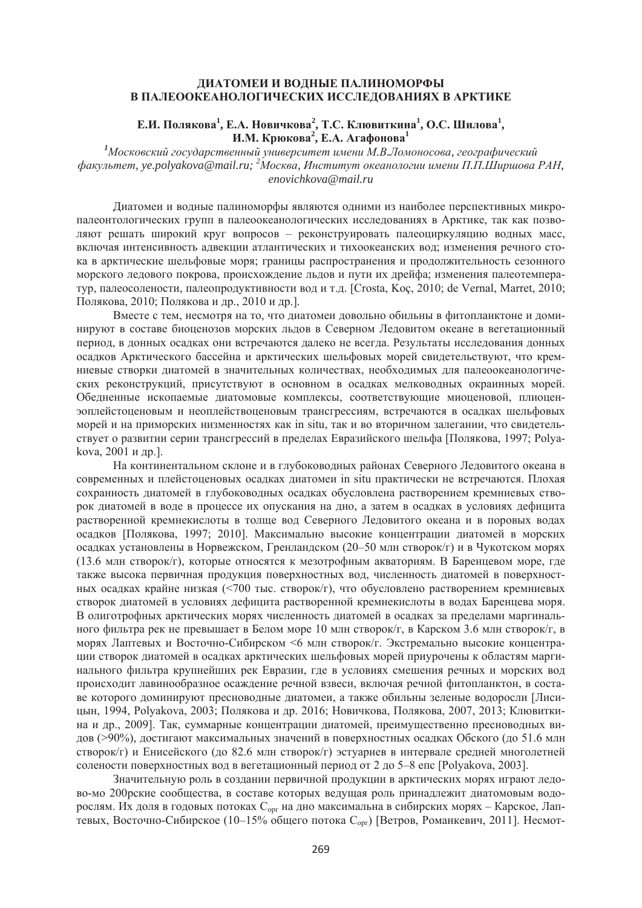## ДИАТОМЕИ И ВОДНЫЕ ПАЛИНОМОРФЫ В ПАЛЕООКЕАНОЛОГИЧЕСКИХ ИССЛЕДОВАНИЯХ В АРКТИКЕ

## Е.И. Полякова<sup>1</sup>, Е.А. Новичкова<sup>2</sup>, Т.С. Клювиткина<sup>1</sup>, О.С. Шилова<sup>1</sup>, **И.М. Крюкова<sup>2</sup>, Е.А. Агафонова<sup>1</sup>**

<sup>1</sup>Московский государственный университет имени М.В.Ломоносова, географический  $\phi$ акультет, уе.polyakova@mail.ru; <sup>2</sup>Москва, Институт океанологии имени П.П.Ширшова РАН, *enovichkova@mail.ru* 

Диатомеи и водные палиноморфы являются одними из наиболее перспективных микропалеонтологических групп в палеоокеанологических исследованиях в Арктике, так как позволяют решать широкий круг вопросов – реконструировать палеоциркуляцию водных масс, включая интенсивность адвекции атлантических и тихоокеанских вод; изменения речного стока в арктические шельфовые моря; границы распространения и продолжительность сезонного морского ледового покрова, происхождение льдов и пути их дрейфа; изменения палеотемператур, палеосолености, палеопродуктивности вод и т.д. [Crosta, Koç, 2010; de Vernal, Marret, 2010; Полякова, 2010; Полякова и др., 2010 и др.].

Вместе с тем, несмотря на то, что диатомеи довольно обильны в фитопланктоне и доминируют в составе биоценозов морских льдов в Северном Ледовитом океане в вегетационный период, в донных осадках они встречаются далеко не всегда. Результаты исследования донных осадков Арктического бассейна и арктических шельфовых морей свидетельствуют, что кремниевые створки диатомей в значительных количествах, необходимых для палеоокеанологических реконструкций, присутствуют в основном в осадках мелководных окраинных морей. Обедненные ископаемые диатомовые комплексы, соответствующие миоценовой, плиоценэоплейстоценовым и неоплействоценовым трансгрессиям, встречаются в осадках шельфовых морей и на приморских низменностях как in situ, так и во вторичном залегании, что свидетельствует о развитии серии трансгрессий в пределах Евразийского шельфа [Полякова, 1997; Polyakova, 2001 и др.].

На континентальном склоне и в глубоководных районах Северного Ледовитого океана в современных и плейстопеновых осалках лиатомеи in situ практически не встречаются. Плохая сохранность диатомей в глубоководных осадках обусловлена растворением кремниевых створок диатомей в воде в процессе их опускания на дно, а затем в осадках в условиях дефицита растворенной кремнекислоты в толще вод Северного Ледовитого океана и в поровых водах осадков [Полякова, 1997; 2010]. Максимально высокие концентрации диатомей в морских осадках установлены в Норвежском, Гренландском (20–50 млн створок/г) и в Чукотском морях (13.6 млн створок/г), которые относятся к мезотрофным акваториям. В Баренцевом море, где также высока первичная пролукция поверхностных вол. численность лиатомей в поверхностных осадках крайне низкая (<700 тыс. створок/г), что обусловлено растворением кремниевых створок диатомей в условиях дефицита растворенной кремнекислоты в водах Баренцева моря. В олиготрофных арктических морях численность диатомей в осадках за пределами маргинального фильтра рек не превышает в Белом море 10 млн створок/г, в Карском 3.6 млн створок/г, в морях Лаптевых и Восточно-Сибирском <6 млн створок/г. Экстремально высокие концентрации створок лиатомей в осалках арктических шельфовых морей приурочены к областям маргинального фильтра крупнейших рек Евразии, где в условиях смешения речных и морских вод происходит лавинообразное осаждение речной взвеси, включая речной фитопланктон, в составе которого доминируют пресноводные диатомеи, а также обильны зеленые водоросли [Лисицын, 1994, Polyakova, 2003; Полякова и др. 2016; Новичкова, Полякова, 2007, 2013; Клювиткина и др., 2009]. Так, суммарные концентрации диатомей, преимущественно пресноводных видов (>90%), достигают максимальных значений в поверхностных осалках Обского (до 51.6 млн створок/г) и Енисейского (до 82.6 млн створок/г) эстуариев в интервале средней многолетней солености поверхностных вод в вегетационный период от 2 до 5–8 епс [Polyakova, 2003].

Значительную роль в создании первичной продукции в арктических морях играют ледово-мо 200рские сообщества, в составе которых ведущая роль принадлежит диатомовым водорослям. Их доля в годовых потоках С<sub>орг</sub> на дно максимальна в сибирских морях – Карское, Лаптевых, Восточно-Сибирское (10–15% общего потока С<sub>орг</sub>) [Ветров, Романкевич, 2011]. Несмот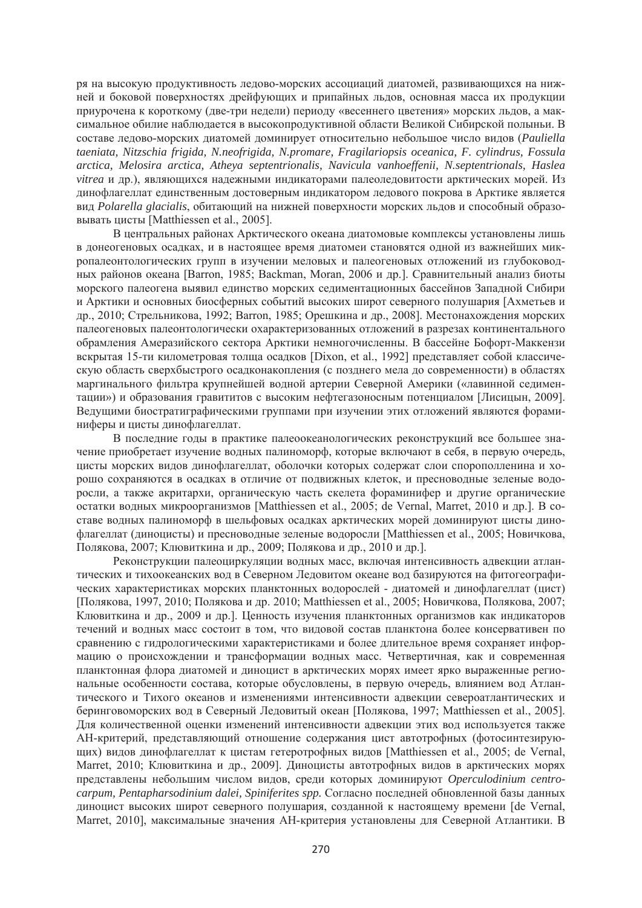ря на высокую продуктивность ледово-морских ассоциаций диатомей, развивающихся на нижней и боковой поверхностях дрейфующих и припайных льдов, основная масса их продукции приурочена к короткому (две-три недели) периоду «весеннего цветения» морских льдов, а максимальное обилие наблюдается в высокопродуктивной области Великой Сибирской полыныи. В составе ледово-морских диатомей доминирует относительно небольшое число видов (Pauliella *taeniata, Nitzschia frigida, N.neofrigida, N.promare, Fragilariopsis oceanica, F. cylindrus, Fossula arctica, Melosira arctica, Atheya septentrionalis, Navicula vanhoeffenii, N.septentrionals, Haslea vitrea* и др.), являющихся надежными индикаторами палеоледовитости арктических морей. Из динофлагеллат единственным достоверным индикатором ледового покрова в Арктике является вид Polarella glacialis, обитающий на нижней поверхности морских льдов и способный образоɜɵɜɚɬɶ ɰɢɫɬɵ [Matthiessen et al., 2005].

В центральных районах Арктического океана диатомовые комплексы установлены лишь в донеогеновых осадках, и в настоящее время диатомеи становятся одной из важнейших микропалеонтологических групп в изучении меловых и палеогеновых отложений из глубоководных районов океана [Barron, 1985; Backman, Moran, 2006 и др.]. Сравнительный анализ биоты морского палеогена выявил единство морских седиментационных бассейнов Западной Сибири и Арктики и основных биосферных событий высоких широт северного полушария [Ахметьев и др., 2010; Стрельникова, 1992; Barron, 1985; Орешкина и др., 2008]. Местонахождения морских палеогеновых палеонтологически охарактеризованных отложений в разрезах континентального обрамления Амеразийского сектора Арктики немногочисленны. В бассейне Бофорт-Маккензи вскрытая 15-ти километровая толща осадков [Dixon, et al., 1992] представляет собой классическую область сверхбыстрого осадконакопления (с позднего мела до современности) в областях маргинального фильтра крупнейшей водной артерии Северной Америки («лавинной седиментации») и образования гравититов с высоким нефтегазоносным потенциалом [Лисицын, 2009]. Ведущими биостратиграфическими группами при изучении этих отложений являются фораминиферы и цисты динофлагеллат.

В последние годы в практике палеоокеанологических реконструкций все большее значение приобретает изучение водных палиноморф, которые включают в себя, в первую очередь, цисты морских видов динофлагеллат, оболочки которых содержат слои спорополленина и хорошо сохраняются в осалках в отличие от полвижных клеток, и пресноводные зеленые волоросли, а также акритархи, органическую часть скелета фораминифер и другие органические остатки водных микроорганизмов [Matthiessen et al., 2005; de Vernal, Marret, 2010 и др.]. В составе водных палиноморф в шельфовых осадках арктических морей доминируют цисты динофлагеллат (диноцисты) и пресноводные зеленые водоросли [Matthiessen et al., 2005; Новичкова, Полякова, 2007; Клювиткина и др., 2009; Полякова и др., 2010 и др.].

Реконструкции палеоциркуляции водных масс, включая интенсивность адвекции атлантических и тихоокеанских вол в Северном Леловитом океане вол базируются на фитогеографических характеристиках морских планктонных водорослей - диатомей и динофлагеллат (цист) [Полякова, 1997, 2010; Полякова и др. 2010; Matthiessen et al., 2005; Новичкова, Полякова, 2007; Клювиткина и др., 2009 и др.]. Ценность изучения планктонных организмов как индикаторов течений и водных масс состоит в том, что видовой состав планктона более консервативен по сравнению с гидрологическими характеристиками и более длительное время сохраняет информацию о происхождении и трансформации водных масс. Четвертичная, как и современная планктонная флора диатомей и диноцист в арктических морях имеет ярко выраженные региональные особенности состава, которые обусловлены, в первую очередь, влиянием вод Атлантического и Тихого океанов и изменениями интенсивности адвекции североатлантических и беринговоморских вод в Северный Ледовитый океан [Полякова, 1997; Matthiessen et al., 2005]. Для количественной оценки изменений интенсивности адвекции этих вод используется также АН-критерий, прелставляющий отношение солержания пист автотрофных (фотосинтезирующих) видов динофлагеллат к цистам гетеротрофных видов [Matthiessen et al., 2005; de Vernal, Marret, 2010; Клювиткина и др., 2009]. Диноцисты автотрофных видов в арктических морях представлены небольшим числом видов, среди которых доминируют Operculodinium centro*carpum, Pentapharsodinium dalei, Spiniferites spp.* Согласно последней обновленной базы данных диноцист высоких широт северного полушария, созданной к настоящему времени [de Vernal, Marret, 2010], максимальные значения АН-критерия установлены для Северной Атлантики. В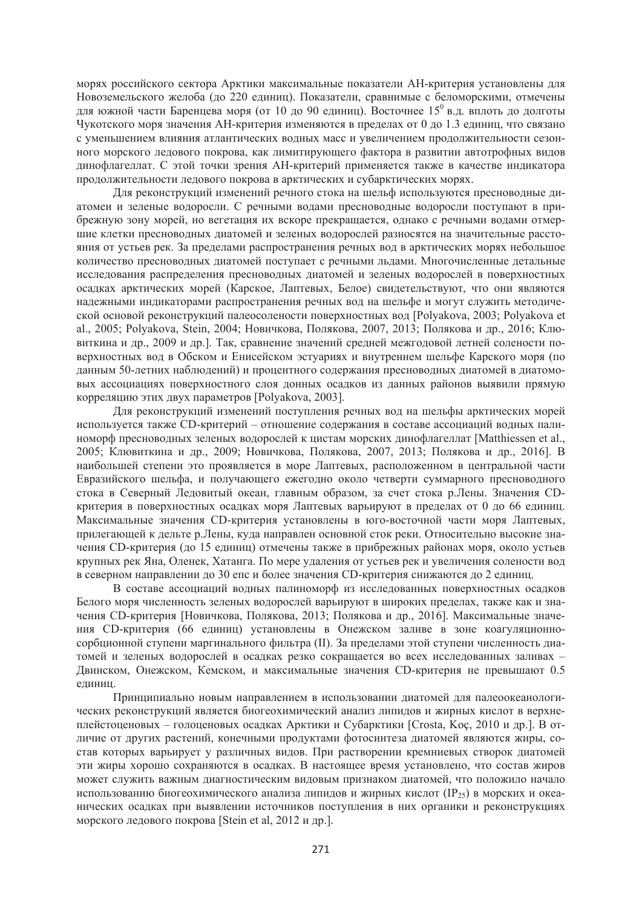морях российского сектора Арктики максимальные показатели АН-критерия установлены для Новоземельского желоба (до 220 единиц). Показатели, сравнимые с беломорскими, отмечены для южной части Баренцева моря (от 10 до 90 единиц). Восточнее 15<sup>0</sup> в.д. вплоть до долготы Чукотского моря значения АН-критерия изменяются в пределах от 0 до 1.3 единиц, что связано с уменьшением влияния атлантических водных масс и увеличением продолжительности сезонного морского ледового покрова, как лимитирующего фактора в развитии автотрофных видов динофлагеллат. С этой точки зрения АН-критерий применяется также в качестве индикатора продолжительности ледового покрова в арктических и субарктических морях.

Для реконструкций изменений речного стока на шельф используются пресноводные диатомеи и зеленые водоросли. С речными водами пресноводные водоросли поступают в прибрежную зону морей, но вегетация их вскоре прекращается, однако с речными водами отмершие клетки пресноволных лиатомей и зеленых волорослей разносятся на значительные расстояния от устьев рек. За пределами распространения речных вод в арктических морях небольшое количество пресноволных лиатомей поступает с речными льлами. Многочисленные летальные исследования распределения пресноводных диатомей и зеленых водорослей в поверхностных осадках арктических морей (Карское, Лаптевых, Белое) свидетельствуют, что они являются надежными индикаторами распространения речных вод на шельфе и могут служить методичеcкой основой реконструкций палеосолености поверхностных вол [Polyakova, 2003; Polyakova et al., 2005; Polyakova, Stein, 2004; Новичкова, Полякова, 2007, 2013; Полякова и др., 2016; Клювиткина и др., 2009 и др.]. Так, сравнение значений средней межгодовой летней солености поверхностных вод в Обском и Енисейском эстуариях и внутреннем шельфе Карского моря (по данным 50-летних наблюдений) и процентного содержания пресноводных диатомей в диатомовых ассоциациях поверхностного слоя донных осадков из данных районов выявили прямую корреляцию этих двух параметров [Polyakova, 2003].

Для реконструкций изменений поступления речных вод на шельфы арктических морей используется также CD-критерий – отношение содержания в составе ассоциаций водных палиноморф пресноводных зеленых водорослей к цистам морских динофлагеллат [Matthiessen et al., 2005; Клювиткина и др., 2009; Новичкова, Полякова, 2007, 2013; Полякова и др., 2016]. В наибольшей степени это проявляется в море Лаптевых, расположенном в центральной части Евразийского шельфа, и получающего ежеголно около четверти суммарного пресноволного стока в Северный Ледовитый океан, главным образом, за счет стока р.Лены. Значения СDкритерия в поверхностных осадках моря Лаптевых варьируют в пределах от 0 до 66 единиц. Максимальные значения CD-критерия установлены в юго-восточной части моря Лаптевых, прилегающей к дельте р.Лены, куда направлен основной сток реки. Относительно высокие значения CD-критерия (до 15 единиц) отмечены также в прибрежных районах моря, около устьев крупных рек Яна, Оленек, Хатанга. По мере удаления от устьев рек и увеличения солености вод в северном направлении до 30 епс и более значения CD-критерия снижаются до 2 единиц.

В составе ассоциаций водных палиноморф из исследованных поверхностных осадков Белого моря численность зеленых водорослей варьируют в широких пределах, также как и значения СD-критерия [Новичкова, Полякова, 2013; Полякова и др., 2016]. Максимальные значения CD-критерия (66 единиц) установлены в Онежском заливе в зоне коагуляционносорбционной ступени маргинального фильтра (II). За пределами этой ступени численность диатомей и зеленых волорослей в осалках резко сокрашается во всех исслелованных заливах -Двинском, Онежском, Кемском, и максимальные значения СD-критерия не превышают 0.5 единиц.

Принципиально новым направлением в использовании диатомей для палеоокеанологических реконструкций является биогеохимический анализ липидов и жирных кислот в верхнеплейстоценовых – голоценовых осадках Арктики и Субарктики [Crosta, Koç, 2010 и др.]. В отличие от лругих растений, конечными пролуктами фотосинтеза лиатомей являются жиры, состав которых варьирует у различных видов. При растворении кремниевых створок диатомей эти жиры хорошо сохраняются в осалках. В настоящее время установлено, что состав жиров может служить важным диагностическим видовым признаком диатомей, что положило начало использованию биогеохимического анализа липилов и жирных кислот (IP<sub>25</sub>) в морских и океанических осадках при выявлении источников поступления в них органики и реконструкциях морского ледового покрова [Stein et al, 2012 и др.].